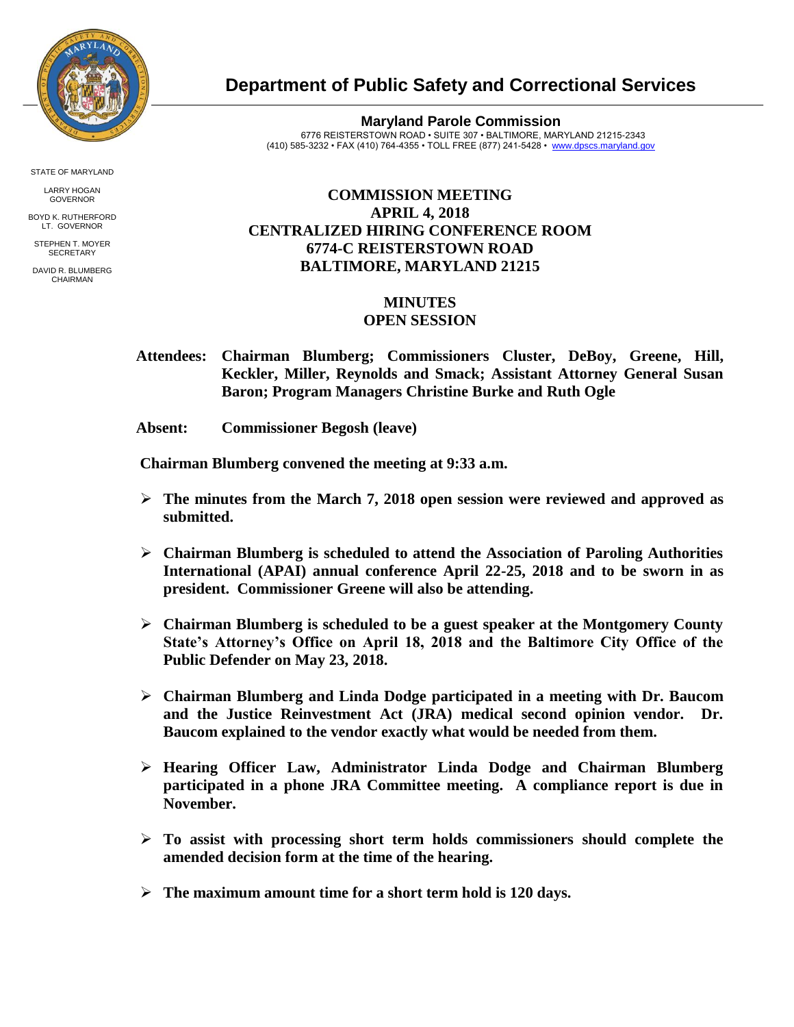

STATE OF MARYLAND

LARRY HOGAN GOVERNOR

BOYD K. RUTHERFORD LT. GOVERNOR STEPHEN T. MOYER

**SECRETARY** 

DAVID R. BLUMBERG CHAIRMAN

## **Department of Public Safety and Correctional Services**

**Maryland Parole Commission** 6776 REISTERSTOWN ROAD • SUITE 307 • BALTIMORE, MARYLAND 21215-2343 (410) 585-3232 • FAX (410) 764-4355 • TOLL FREE (877) 241-5428 • [www.dpscs.maryland.gov](http://www.dpscs.maryland.gov/) 

## **COMMISSION MEETING APRIL 4, 2018 CENTRALIZED HIRING CONFERENCE ROOM 6774-C REISTERSTOWN ROAD BALTIMORE, MARYLAND 21215**

## **MINUTES**

## **OPEN SESSION**

 **Attendees: Chairman Blumberg; Commissioners Cluster, DeBoy, Greene, Hill, Keckler, Miller, Reynolds and Smack; Assistant Attorney General Susan Baron; Program Managers Christine Burke and Ruth Ogle**

 **Absent: Commissioner Begosh (leave)**

 **Chairman Blumberg convened the meeting at 9:33 a.m.**

- **The minutes from the March 7, 2018 open session were reviewed and approved as submitted.**
- **Chairman Blumberg is scheduled to attend the Association of Paroling Authorities International (APAI) annual conference April 22-25, 2018 and to be sworn in as president. Commissioner Greene will also be attending.**
- **Chairman Blumberg is scheduled to be a guest speaker at the Montgomery County State's Attorney's Office on April 18, 2018 and the Baltimore City Office of the Public Defender on May 23, 2018.**
- **Chairman Blumberg and Linda Dodge participated in a meeting with Dr. Baucom and the Justice Reinvestment Act (JRA) medical second opinion vendor. Dr. Baucom explained to the vendor exactly what would be needed from them.**
- **Hearing Officer Law, Administrator Linda Dodge and Chairman Blumberg participated in a phone JRA Committee meeting. A compliance report is due in November.**
- **To assist with processing short term holds commissioners should complete the amended decision form at the time of the hearing.**
- **The maximum amount time for a short term hold is 120 days.**